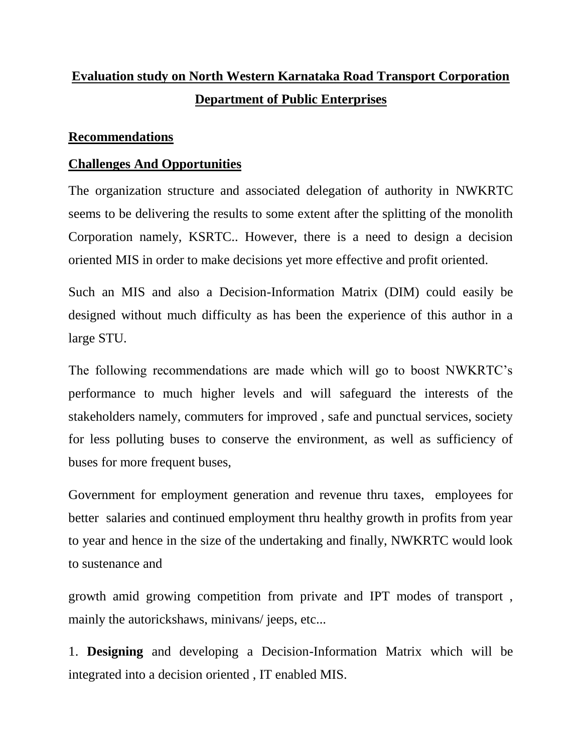## **Evaluation study on North Western Karnataka Road Transport Corporation Department of Public Enterprises**

## **Recommendations**

## **Challenges And Opportunities**

The organization structure and associated delegation of authority in NWKRTC seems to be delivering the results to some extent after the splitting of the monolith Corporation namely, KSRTC.. However, there is a need to design a decision oriented MIS in order to make decisions yet more effective and profit oriented.

Such an MIS and also a Decision-Information Matrix (DIM) could easily be designed without much difficulty as has been the experience of this author in a large STU.

The following recommendations are made which will go to boost NWKRTC's performance to much higher levels and will safeguard the interests of the stakeholders namely, commuters for improved , safe and punctual services, society for less polluting buses to conserve the environment, as well as sufficiency of buses for more frequent buses,

Government for employment generation and revenue thru taxes, employees for better salaries and continued employment thru healthy growth in profits from year to year and hence in the size of the undertaking and finally, NWKRTC would look to sustenance and

growth amid growing competition from private and IPT modes of transport , mainly the autorickshaws, minivans/ jeeps, etc...

1. **Designing** and developing a Decision-Information Matrix which will be integrated into a decision oriented , IT enabled MIS.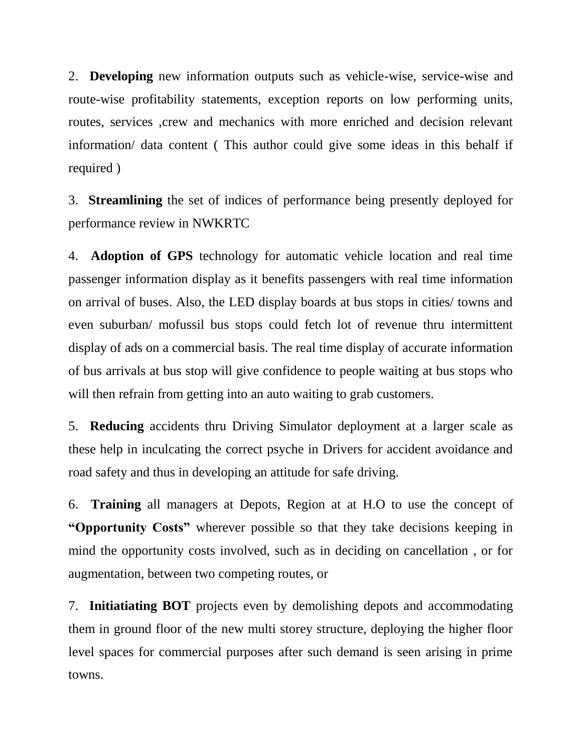2. **Developing** new information outputs such as vehicle-wise, service-wise and route-wise profitability statements, exception reports on low performing units, routes, services ,crew and mechanics with more enriched and decision relevant information/ data content ( This author could give some ideas in this behalf if required )

3. **Streamlining** the set of indices of performance being presently deployed for performance review in NWKRTC

4. **Adoption of GPS** technology for automatic vehicle location and real time passenger information display as it benefits passengers with real time information on arrival of buses. Also, the LED display boards at bus stops in cities/ towns and even suburban/ mofussil bus stops could fetch lot of revenue thru intermittent display of ads on a commercial basis. The real time display of accurate information of bus arrivals at bus stop will give confidence to people waiting at bus stops who will then refrain from getting into an auto waiting to grab customers.

5. **Reducing** accidents thru Driving Simulator deployment at a larger scale as these help in inculcating the correct psyche in Drivers for accident avoidance and road safety and thus in developing an attitude for safe driving.

6. **Training** all managers at Depots, Region at at H.O to use the concept of **"Opportunity Costs"** wherever possible so that they take decisions keeping in mind the opportunity costs involved, such as in deciding on cancellation , or for augmentation, between two competing routes, or

7. **Initiatiating BOT** projects even by demolishing depots and accommodating them in ground floor of the new multi storey structure, deploying the higher floor level spaces for commercial purposes after such demand is seen arising in prime towns.